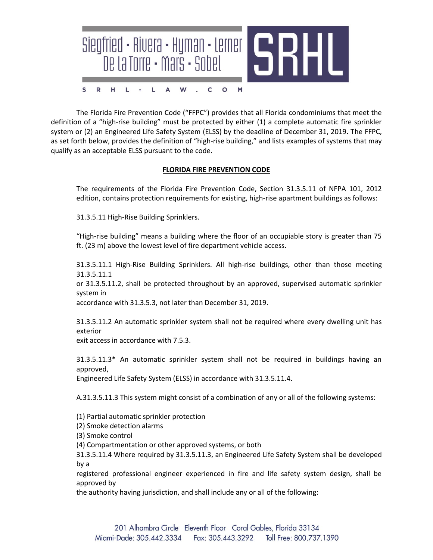

The Florida Fire Prevention Code ("FFPC") provides that all Florida condominiums that meet the definition of a "high-rise building" must be protected by either (1) a complete automatic fire sprinkler system or (2) an Engineered Life Safety System (ELSS) by the deadline of December 31, 2019. The FFPC, as set forth below, provides the definition of "high-rise building," and lists examples of systems that may qualify as an acceptable ELSS pursuant to the code.

## **FLORIDA FIRE PREVENTION CODE**

The requirements of the Florida Fire Prevention Code, Section 31.3.5.11 of NFPA 101, 2012 edition, contains protection requirements for existing, high-rise apartment buildings as follows:

31.3.5.11 High-Rise Building Sprinklers.

"High-rise building" means a building where the floor of an occupiable story is greater than 75 ft. (23 m) above the lowest level of fire department vehicle access.

31.3.5.11.1 High-Rise Building Sprinklers. All high-rise buildings, other than those meeting 31.3.5.11.1

or 31.3.5.11.2, shall be protected throughout by an approved, supervised automatic sprinkler system in

accordance with 31.3.5.3, not later than December 31, 2019.

31.3.5.11.2 An automatic sprinkler system shall not be required where every dwelling unit has exterior

exit access in accordance with 7.5.3.

31.3.5.11.3\* An automatic sprinkler system shall not be required in buildings having an approved,

Engineered Life Safety System (ELSS) in accordance with 31.3.5.11.4.

A.31.3.5.11.3 This system might consist of a combination of any or all of the following systems:

(1) Partial automatic sprinkler protection

(2) Smoke detection alarms

(3) Smoke control

(4) Compartmentation or other approved systems, or both

31.3.5.11.4 Where required by 31.3.5.11.3, an Engineered Life Safety System shall be developed by a

registered professional engineer experienced in fire and life safety system design, shall be approved by

the authority having jurisdiction, and shall include any or all of the following: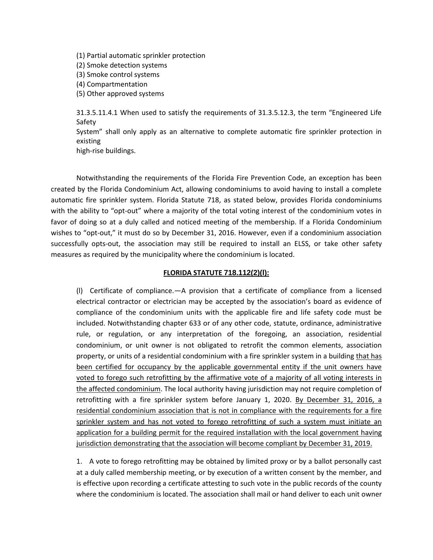(1) Partial automatic sprinkler protection (2) Smoke detection systems (3) Smoke control systems (4) Compartmentation (5) Other approved systems

31.3.5.11.4.1 When used to satisfy the requirements of 31.3.5.12.3, the term "Engineered Life Safety System" shall only apply as an alternative to complete automatic fire sprinkler protection in existing high‐rise buildings.

Notwithstanding the requirements of the Florida Fire Prevention Code, an exception has been created by the Florida Condominium Act, allowing condominiums to avoid having to install a complete automatic fire sprinkler system. Florida Statute 718, as stated below, provides Florida condominiums with the ability to "opt-out" where a majority of the total voting interest of the condominium votes in favor of doing so at a duly called and noticed meeting of the membership. If a Florida Condominium wishes to "opt-out," it must do so by December 31, 2016. However, even if a condominium association successfully opts-out, the association may still be required to install an ELSS, or take other safety measures as required by the municipality where the condominium is located.

## **FLORIDA STATUTE 718.112(2)(l):**

(l) Certificate of compliance.—A provision that a certificate of compliance from a licensed electrical contractor or electrician may be accepted by the association's board as evidence of compliance of the condominium units with the applicable fire and life safety code must be included. Notwithstanding chapter 633 or of any other code, statute, ordinance, administrative rule, or regulation, or any interpretation of the foregoing, an association, residential condominium, or unit owner is not obligated to retrofit the common elements, association property, or units of a residential condominium with a fire sprinkler system in a building that has been certified for occupancy by the applicable governmental entity if the unit owners have voted to forego such retrofitting by the affirmative vote of a majority of all voting interests in the affected condominium. The local authority having jurisdiction may not require completion of retrofitting with a fire sprinkler system before January 1, 2020. By December 31, 2016, a residential condominium association that is not in compliance with the requirements for a fire sprinkler system and has not voted to forego retrofitting of such a system must initiate an application for a building permit for the required installation with the local government having jurisdiction demonstrating that the association will become compliant by December 31, 2019.

1. A vote to forego retrofitting may be obtained by limited proxy or by a ballot personally cast at a duly called membership meeting, or by execution of a written consent by the member, and is effective upon recording a certificate attesting to such vote in the public records of the county where the condominium is located. The association shall mail or hand deliver to each unit owner